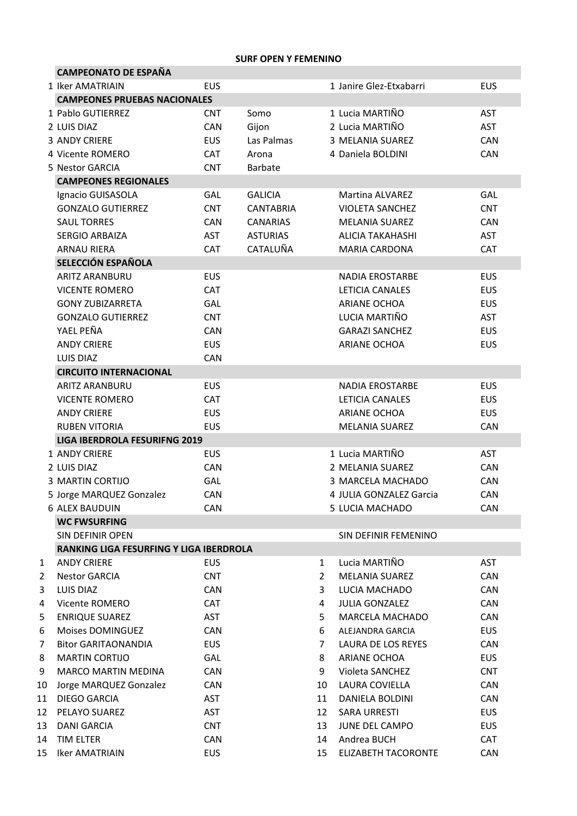## **SURF OPEN Y FEMENINO**

|    | <b>CAMPEONATO DE ESPAÑA</b>             |                             |                  |                |                            |            |  |  |  |  |  |
|----|-----------------------------------------|-----------------------------|------------------|----------------|----------------------------|------------|--|--|--|--|--|
|    | 1 Iker AMATRIAIN                        | <b>EUS</b>                  |                  |                | 1 Janire Glez-Etxabarri    | <b>EUS</b> |  |  |  |  |  |
|    | <b>CAMPEONES PRUEBAS NACIONALES</b>     |                             |                  |                |                            |            |  |  |  |  |  |
|    | 1 Pablo GUTIERREZ                       | <b>CNT</b>                  | Somo             |                | 1 Lucia MARTIÑO            | <b>AST</b> |  |  |  |  |  |
|    | 2 LUIS DIAZ                             | <b>CAN</b>                  | Gijon            |                | 2 Lucia MARTIÑO            | <b>AST</b> |  |  |  |  |  |
|    | <b>3 ANDY CRIERE</b>                    | <b>EUS</b>                  | Las Palmas       |                | 3 MELANIA SUAREZ           | CAN        |  |  |  |  |  |
|    | 4 Vicente ROMERO                        | <b>CAT</b>                  | Arona            |                | 4 Daniela BOLDINI          | <b>CAN</b> |  |  |  |  |  |
|    | 5 Nestor GARCIA                         | <b>CNT</b>                  | <b>Barbate</b>   |                |                            |            |  |  |  |  |  |
|    |                                         | <b>CAMPEONES REGIONALES</b> |                  |                |                            |            |  |  |  |  |  |
|    | Ignacio GUISASOLA                       | GAL                         | <b>GALICIA</b>   |                | <b>Martina ALVAREZ</b>     | GAL        |  |  |  |  |  |
|    | <b>GONZALO GUTIERREZ</b>                | <b>CNT</b>                  | <b>CANTABRIA</b> |                | <b>VIOLETA SANCHEZ</b>     | <b>CNT</b> |  |  |  |  |  |
|    | <b>SAUL TORRES</b>                      | <b>CAN</b>                  | <b>CANARIAS</b>  |                | <b>MELANIA SUAREZ</b>      | CAN        |  |  |  |  |  |
|    | <b>SERGIO ARBAIZA</b>                   | <b>AST</b>                  | <b>ASTURIAS</b>  |                | <b>ALICIA TAKAHASHI</b>    | <b>AST</b> |  |  |  |  |  |
|    | <b>ARNAU RIERA</b>                      | CAT                         | CATALUÑA         |                | <b>MARIA CARDONA</b>       | <b>CAT</b> |  |  |  |  |  |
|    | SELECCIÓN ESPAÑOLA                      |                             |                  |                |                            |            |  |  |  |  |  |
|    | <b>ARITZ ARANBURU</b>                   | <b>EUS</b>                  |                  |                | <b>NADIA EROSTARBE</b>     | <b>EUS</b> |  |  |  |  |  |
|    | <b>VICENTE ROMERO</b>                   | CAT                         |                  |                | LETICIA CANALES            | <b>EUS</b> |  |  |  |  |  |
|    | <b>GONY ZUBIZARRETA</b>                 | GAL                         |                  |                | <b>ARIANE OCHOA</b>        | <b>EUS</b> |  |  |  |  |  |
|    | <b>GONZALO GUTIERREZ</b>                | <b>CNT</b>                  |                  |                | LUCIA MARTIÑO              | <b>AST</b> |  |  |  |  |  |
|    | YAEL PEÑA                               |                             |                  |                |                            |            |  |  |  |  |  |
|    |                                         | <b>CAN</b>                  |                  |                | <b>GARAZI SANCHEZ</b>      | <b>EUS</b> |  |  |  |  |  |
|    | <b>ANDY CRIERE</b>                      | <b>EUS</b>                  |                  |                | <b>ARIANE OCHOA</b>        | <b>EUS</b> |  |  |  |  |  |
|    | LUIS DIAZ                               | CAN                         |                  |                |                            |            |  |  |  |  |  |
|    | <b>CIRCUITO INTERNACIONAL</b>           |                             |                  |                |                            |            |  |  |  |  |  |
|    | <b>ARITZ ARANBURU</b>                   | <b>EUS</b>                  |                  |                | <b>NADIA EROSTARBE</b>     | <b>EUS</b> |  |  |  |  |  |
|    | <b>VICENTE ROMERO</b>                   | <b>CAT</b>                  |                  |                | LETICIA CANALES            | <b>EUS</b> |  |  |  |  |  |
|    | <b>ANDY CRIERE</b>                      | <b>EUS</b>                  |                  |                | <b>ARIANE OCHOA</b>        | <b>EUS</b> |  |  |  |  |  |
|    | <b>RUBEN VITORIA</b>                    | <b>EUS</b>                  |                  |                | <b>MELANIA SUAREZ</b>      | <b>CAN</b> |  |  |  |  |  |
|    | <b>LIGA IBERDROLA FESURIFNG 2019</b>    |                             |                  |                |                            |            |  |  |  |  |  |
|    | 1 ANDY CRIERE                           | <b>EUS</b>                  |                  |                | 1 Lucia MARTIÑO            | <b>AST</b> |  |  |  |  |  |
|    | 2 LUIS DIAZ                             | CAN                         |                  |                | 2 MELANIA SUAREZ           | CAN        |  |  |  |  |  |
|    | <b>3 MARTIN CORTIJO</b>                 | GAL                         |                  |                | 3 MARCELA MACHADO          | CAN        |  |  |  |  |  |
|    | 5 Jorge MARQUEZ Gonzalez                | CAN                         |                  |                | 4 JULIA GONZALEZ Garcia    | <b>CAN</b> |  |  |  |  |  |
|    | <b>6 ALEX BAUDUIN</b>                   | CAN                         |                  |                | 5 LUCIA MACHADO            | CAN        |  |  |  |  |  |
|    | <b>WC FWSURFING</b>                     |                             |                  |                |                            |            |  |  |  |  |  |
|    | <b>SIN DEFINIR OPEN</b>                 |                             |                  |                | SIN DEFINIR FEMENINO       |            |  |  |  |  |  |
|    | RANKING LIGA FESURFING Y LIGA IBERDROLA |                             |                  |                |                            |            |  |  |  |  |  |
| 1  | <b>ANDY CRIERE</b>                      | <b>EUS</b>                  |                  | 1              | Lucia MARTIÑO              | <b>AST</b> |  |  |  |  |  |
| 2  | <b>Nestor GARCIA</b>                    | <b>CNT</b>                  |                  | $\overline{2}$ | <b>MELANIA SUAREZ</b>      | CAN        |  |  |  |  |  |
| 3  | <b>LUIS DIAZ</b>                        | <b>CAN</b>                  |                  | 3              | LUCIA MACHADO              | CAN        |  |  |  |  |  |
| 4  | Vicente ROMERO                          | <b>CAT</b>                  |                  | 4              | <b>JULIA GONZALEZ</b>      | CAN        |  |  |  |  |  |
| 5  | <b>ENRIQUE SUAREZ</b>                   | AST                         |                  | 5              | <b>MARCELA MACHADO</b>     | CAN        |  |  |  |  |  |
| 6  | Moises DOMINGUEZ                        | <b>CAN</b>                  |                  | 6              | ALEJANDRA GARCIA           | <b>EUS</b> |  |  |  |  |  |
| 7  | <b>Bitor GARITAONANDIA</b>              | <b>EUS</b>                  |                  | 7              | LAURA DE LOS REYES         | <b>CAN</b> |  |  |  |  |  |
| 8  | <b>MARTIN CORTIJO</b>                   | GAL                         |                  | 8              | ARIANE OCHOA               | <b>EUS</b> |  |  |  |  |  |
| 9  | MARCO MARTIN MEDINA                     | CAN                         |                  | 9              | Violeta SANCHEZ            | <b>CNT</b> |  |  |  |  |  |
| 10 | Jorge MARQUEZ Gonzalez                  | CAN                         |                  | 10             | LAURA COVIELLA             | CAN        |  |  |  |  |  |
| 11 | DIEGO GARCIA                            | AST                         |                  | 11             | DANIELA BOLDINI            | CAN        |  |  |  |  |  |
| 12 | PELAYO SUAREZ                           | AST                         |                  | 12             | <b>SARA URRESTI</b>        | <b>EUS</b> |  |  |  |  |  |
| 13 | <b>DANI GARCIA</b>                      | <b>CNT</b>                  |                  | 13             | JUNE DEL CAMPO             | <b>EUS</b> |  |  |  |  |  |
| 14 | TIM ELTER                               | CAN                         |                  | 14             | Andrea BUCH                | <b>CAT</b> |  |  |  |  |  |
| 15 | <b>Iker AMATRIAIN</b>                   | <b>EUS</b>                  |                  | 15             | <b>ELIZABETH TACORONTE</b> | <b>CAN</b> |  |  |  |  |  |
|    |                                         |                             |                  |                |                            |            |  |  |  |  |  |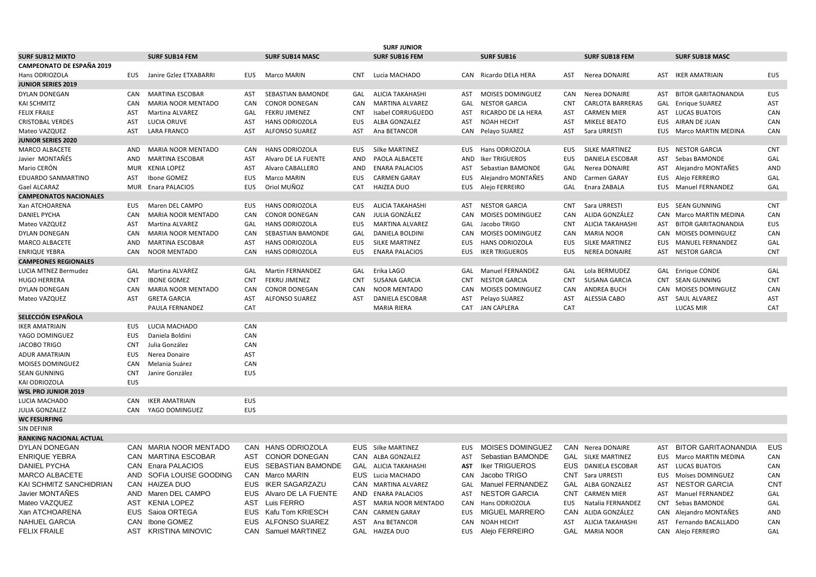| <b>SURF JUNIOR</b>            |            |                           |            |                        |            |                           |            |                         |            |                         |            |                            |            |
|-------------------------------|------------|---------------------------|------------|------------------------|------------|---------------------------|------------|-------------------------|------------|-------------------------|------------|----------------------------|------------|
| <b>SURF SUB12 MIXTO</b>       |            | <b>SURF SUB14 FEM</b>     |            | <b>SURF SUB14 MASC</b> |            | <b>SURF SUB16 FEM</b>     |            | <b>SURF SUB16</b>       |            | <b>SURF SUB18 FEM</b>   |            | <b>SURF SUB18 MASC</b>     |            |
| CAMPEONATO DE ESPAÑA 2019     |            |                           |            |                        |            |                           |            |                         |            |                         |            |                            |            |
| Hans ODRIOZOLA                | EUS        | Janire Gzlez ETXABARRI    | <b>EUS</b> | Marco MARIN            | <b>CNT</b> | Lucia MACHADO             | CAN        | Ricardo DELA HERA       | AST        | Nerea DONAIRE           |            | <b>AST IKER AMATRIAIN</b>  | EUS        |
| <b>JUNIOR SERIES 2019</b>     |            |                           |            |                        |            |                           |            |                         |            |                         |            |                            |            |
| DYLAN DONEGAN                 | CAN        | <b>MARTINA ESCOBAR</b>    | AST        | SEBASTIAN BAMONDE      | GAL        | <b>ALICIA TAKAHASHI</b>   | AST        | <b>MOISES DOMINGUEZ</b> | CAN        | Nerea DONAIRE           | AST        | <b>BITOR GARITAONANDIA</b> | <b>EUS</b> |
| KAI SCHMITZ                   | CAN        | <b>MARIA NOOR MENTADO</b> | CAN        | <b>CONOR DONEGAN</b>   | CAN        | <b>MARTINA ALVAREZ</b>    | GAL        | <b>NESTOR GARCIA</b>    | <b>CNT</b> | <b>CARLOTA BARRERAS</b> | GAL        | Enrique SUAREZ             | AST        |
| <b>FELIX FRAILE</b>           | AST        | Martina ALVAREZ           | GAL        | <b>FEKRU JIMENEZ</b>   | <b>CNT</b> | Isabel CORRUGUEDO         | <b>AST</b> | RICARDO DE LA HERA      | AST        | <b>CARMEN MIER</b>      |            | AST LUCAS BUATOIS          | CAN        |
| <b>CRISTOBAL VERDES</b>       | <b>AST</b> | LUCIA ORUVE               | AST        | HANS ODRIOZOLA         | EUS        | ALBA GONZALEZ             | AST        | <b>NOAH HECHT</b>       | AST        | MIKELE BEATO            |            | EUS AIRAN DE JUAN          | CAN        |
| Mateo VAZQUEZ                 | AST        | <b>LARA FRANCO</b>        | AST        | <b>ALFONSO SUAREZ</b>  | <b>AST</b> | Ana BETANCOR              | CAN        | Pelayo SUAREZ           | AST        | Sara URRESTI            | EUS        | Marco MARTIN MEDINA        | CAN        |
| JUNIOR SERIES 2020            |            |                           |            |                        |            |                           |            |                         |            |                         |            |                            |            |
| MARCO ALBACETE                | AND        | <b>MARIA NOOR MENTADO</b> | <b>CAN</b> | <b>HANS ODRIOZOLA</b>  | <b>EUS</b> | Silke MARTINEZ            | EUS.       | Hans ODRIOZOLA          | <b>EUS</b> | SILKE MARTINEZ          |            | <b>EUS NESTOR GARCIA</b>   | <b>CNT</b> |
| Javier MONTAÑÉS               | AND        | <b>MARTINA ESCOBAR</b>    | AST        | Alvaro DE LA FUENTE    | AND        | PAOLA ALBACETE            | <b>AND</b> | <b>Iker TRIGUEROS</b>   | <b>EUS</b> | DANIELA ESCOBAR         | AST        | Sebas BAMONDE              | GAL        |
| Mario CERÓN                   | <b>MUR</b> | <b>KENIA LOPEZ</b>        | AST        | Alvaro CABALLERO       | AND        | <b>ENARA PALACIOS</b>     | AST        | Sebastian BAMONDE       | GAL        | Nerea DONAIRE           | AST        | Alejandro MONTAÑES         | AND        |
| EDUARDO SANMARTINO            | AST        | Ibone GOMEZ               | <b>EUS</b> | Marco MARIN            | <b>EUS</b> | <b>CARMEN GARAY</b>       | <b>EUS</b> | Alejandro MONTAÑES      | AND        | Carmen GARAY            | EUS        | Alejo FERREIRO             | GAL        |
| Gael ALCARAZ                  | MUR        | Enara PALACIOS            | <b>EUS</b> | Oriol MUÑOZ            | CAT        | <b>HAIZEA DUO</b>         | EUS        | Alejo FERREIRO          | GAL        | Enara ZABALA            |            | EUS Manuel FERNANDEZ       | GAL        |
| <b>CAMPEONATOS NACIONALES</b> |            |                           |            |                        |            |                           |            |                         |            |                         |            |                            |            |
| Xan ATCHOARENA                | EUS        | Maren DEL CAMPO           | <b>EUS</b> | <b>HANS ODRIOZOLA</b>  | EUS        | <b>ALICIA TAKAHASHI</b>   | AST        | <b>NESTOR GARCIA</b>    | <b>CNT</b> | Sara URRESTI            |            | EUS SEAN GUNNING           | <b>CNT</b> |
| <b>DANIEL PYCHA</b>           | CAN        | MARIA NOOR MENTADO        | CAN        | <b>CONOR DONEGAN</b>   | CAN        | JULIA GONZÁLEZ            | CAN        | MOISES DOMINGUEZ        | CAN        | ALIDA GONZÁLEZ          | CAN        | Marco MARTIN MEDINA        | CAN        |
| Mateo VAZQUEZ                 | AST        | Martina ALVAREZ           | GAL        | <b>HANS ODRIOZOLA</b>  | <b>EUS</b> | <b>MARTINA ALVAREZ</b>    | GAL        | Jacobo TRIGO            | <b>CNT</b> | <b>ALICIA TAKAHASHI</b> | AST        | <b>BITOR GARITAONANDIA</b> | <b>EUS</b> |
| DYLAN DONEGAN                 | CAN        | MARIA NOOR MENTADO        | CAN        | SEBASTIAN BAMONDE      | GAL        | <b>DANIELA BOLDINI</b>    | CAN        | MOISES DOMINGUEZ        | CAN        | <b>MARIA NOOR</b>       | CAN        | <b>MOISES DOMINGUEZ</b>    | CAN        |
| MARCO ALBACETE                | AND        | <b>MARTINA ESCOBAR</b>    | AST        | <b>HANS ODRIOZOLA</b>  | <b>EUS</b> | <b>SILKE MARTINEZ</b>     | <b>EUS</b> | <b>HANS ODRIOZOLA</b>   | <b>EUS</b> | SILKE MARTINEZ          | <b>EUS</b> | <b>MANUEL FERNANDEZ</b>    | GAL        |
| ENRIQUE YEBRA                 | <b>CAN</b> | <b>NOOR MENTADO</b>       | <b>CAN</b> | <b>HANS ODRIOZOLA</b>  | <b>EUS</b> | <b>ENARA PALACIOS</b>     | EUS.       | <b>IKER TRIGUEROS</b>   | <b>EUS</b> | <b>NEREA DONAIRE</b>    |            | AST NESTOR GARCIA          | <b>CNT</b> |
| <b>CAMPEONES REGIONALES</b>   |            |                           |            |                        |            |                           |            |                         |            |                         |            |                            |            |
| LUCIA MTNEZ Bermudez          | GAL        | Martina ALVAREZ           | GAL        | Martin FERNANDEZ       | GAL        | Erika LAGO                | GAL        | <b>Manuel FERNANDEZ</b> | GAL        | Lola BERMUDEZ           |            | GAL Enrique CONDE          | GAL        |
| HUGO HERRERA                  | <b>CNT</b> | <b>IBONE GOMEZ</b>        | <b>CNT</b> | <b>FEKRU JIMENEZ</b>   | <b>CNT</b> | <b>SUSANA GARCIA</b>      | <b>CNT</b> | <b>NESTOR GARCIA</b>    | <b>CNT</b> | SUSANA GARCIA           | <b>CNT</b> | <b>SEAN GUNNING</b>        | <b>CNT</b> |
| DYLAN DONEGAN                 | CAN        | MARIA NOOR MENTADO        | CAN        | <b>CONOR DONEGAN</b>   | CAN        | <b>NOOR MENTADO</b>       | CAN        | MOISES DOMINGUEZ        | CAN        | <b>ANDREA BUCH</b>      | CAN        | <b>MOISES DOMINGUEZ</b>    | CAN        |
| Mateo VAZQUEZ                 | <b>AST</b> | <b>GRETA GARCIA</b>       | AST        | <b>ALFONSO SUAREZ</b>  | <b>AST</b> | DANIELA ESCOBAR           | <b>AST</b> | Pelayo SUAREZ           | <b>AST</b> | <b>ALESSIA CABO</b>     |            | AST SAUL ALVAREZ           | AST        |
|                               |            | PAULA FERNANDEZ           | CAT        |                        |            | <b>MARIA RIERA</b>        | <b>CAT</b> | <b>JAN CAPLERA</b>      | CAT        |                         |            | <b>LUCAS MIR</b>           | <b>CAT</b> |
| SELECCIÓN ESPAÑOLA            |            |                           |            |                        |            |                           |            |                         |            |                         |            |                            |            |
| IKER AMATRIAIN                | EUS        | LUCIA MACHADO             | CAN        |                        |            |                           |            |                         |            |                         |            |                            |            |
| YAGO DOMINGUEZ                | <b>EUS</b> | Daniela Boldini           | CAN        |                        |            |                           |            |                         |            |                         |            |                            |            |
| <b>JACOBO TRIGO</b>           | <b>CNT</b> | Julia González            | CAN        |                        |            |                           |            |                         |            |                         |            |                            |            |
| ADUR AMATRIAIN                | <b>EUS</b> | Nerea Donaire             | AST        |                        |            |                           |            |                         |            |                         |            |                            |            |
| MOISES DOMINGUEZ              | CAN        | Melania Suárez            | CAN        |                        |            |                           |            |                         |            |                         |            |                            |            |
| <b>SEAN GUNNING</b>           | <b>CNT</b> | Janire González           | <b>EUS</b> |                        |            |                           |            |                         |            |                         |            |                            |            |
| KAI ODRIOZOLA                 | <b>EUS</b> |                           |            |                        |            |                           |            |                         |            |                         |            |                            |            |
| <b>WSL PRO JUNIOR 2019</b>    |            |                           |            |                        |            |                           |            |                         |            |                         |            |                            |            |
| LUCIA MACHADO                 | CAN        | <b>IKER AMATRIAIN</b>     | <b>EUS</b> |                        |            |                           |            |                         |            |                         |            |                            |            |
| JULIA GONZALEZ                | CAN        | YAGO DOMINGUEZ            | <b>EUS</b> |                        |            |                           |            |                         |            |                         |            |                            |            |
| <b>WC FESURFING</b>           |            |                           |            |                        |            |                           |            |                         |            |                         |            |                            |            |
| SIN DEFINIR                   |            |                           |            |                        |            |                           |            |                         |            |                         |            |                            |            |
| RANKING NACIONAL ACTUAL       |            |                           |            |                        |            |                           |            |                         |            |                         |            |                            |            |
| <b>DYLAN DONEGAN</b>          |            | CAN MARIA NOOR MENTADO    |            | CAN HANS ODRIOZOLA     |            | <b>EUS</b> Silke MARTINEZ | <b>EUS</b> | <b>MOISES DOMINGUEZ</b> |            | CAN Nerea DONAIRE       | AST        | <b>BITOR GARITAONANDIA</b> | <b>EUS</b> |
| <b>ENRIQUE YEBRA</b>          | CAN        | <b>MARTINA ESCOBAR</b>    | <b>AST</b> | <b>CONOR DONEGAN</b>   | CAN        | ALBA GONZALEZ             | <b>AST</b> | Sebastian BAMONDE       | <b>GAL</b> | <b>SILKE MARTINEZ</b>   | EUS.       | <b>Marco MARTIN MEDINA</b> | CAN        |
| <b>DANIEL PYCHA</b>           | CAN        | <b>Enara PALACIOS</b>     | <b>EUS</b> | SEBASTIAN BAMONDE      | GAL        | <b>ALICIA TAKAHASHI</b>   | <b>AST</b> | <b>Iker TRIGUEROS</b>   | <b>EUS</b> | <b>DANIELA ESCOBAR</b>  | AST        | <b>LUCAS BUATOIS</b>       | CAN        |
| MARCO ALBACETE                | AND        | SOFIA LOUISE GOODING      | CAN        | Marco MARIN            | EUS        | Lucia MACHADO             | CAN        | Jacobo TRIGO            | CNT        | Sara URRESTI            | EUS        | Moises DOMINGUEZ           | CAN        |
| KAI SCHMITZ SANCHIDRIAN       | CAN        | HAIZEA DUO                | <b>EUS</b> | <b>IKER SAGARZAZU</b>  |            | CAN MARTINA ALVAREZ       | GAL        | Manuel FERNANDEZ        | GAL        | ALBA GONZALEZ           | AST        | <b>NESTOR GARCIA</b>       | <b>CNT</b> |
| Javier MONTAÑES               | AND        | Maren DEL CAMPO           | <b>EUS</b> | Alvaro DE LA FUENTE    | AND        | <b>ENARA PALACIOS</b>     | AST        | <b>NESTOR GARCIA</b>    | <b>CNT</b> | <b>CARMEN MIER</b>      | AST        | Manuel FERNANDEZ           | GAL        |
| Mateo VAZQUEZ                 | <b>AST</b> | <b>KENIA LOPEZ</b>        | <b>AST</b> | Luis FERRO             | AST        | <b>MARIA NOOR MENTADO</b> | CAN        | Hans ODRIOZOLA          | <b>EUS</b> | Natalia FERNANDEZ       | <b>CNT</b> | Sebas BAMONDE              | GAL        |
| Xan ATCHOARENA                | <b>EUS</b> | Saioa ORTEGA              | <b>EUS</b> | Kafu Tom KRIESCH       | CAN        | <b>CARMEN GARAY</b>       | <b>EUS</b> | <b>MIGUEL MARRERO</b>   | CAN        | ALIDA GONZÁLEZ          | CAN        | Alejandro MONTAÑES         | AND        |
| NAHUEL GARCIA                 | CAN        | Ibone GOMEZ               | EUS        | ALFONSO SUAREZ         | AST        | Ana BETANCOR              | CAN        | <b>NOAH HECHT</b>       | AST        | <b>ALICIA TAKAHASHI</b> | AST        | Fernando BACALLADO         | CAN        |
| <b>FELIX FRAILE</b>           |            | AST KRISTINA MINOVIC      |            | CAN Samuel MARTINEZ    |            | GAL HAIZEA DUO            | EUS        | Alejo FERREIRO          | <b>GAL</b> | <b>MARIA NOOR</b>       |            | CAN Alejo FERREIRO         | GAL        |